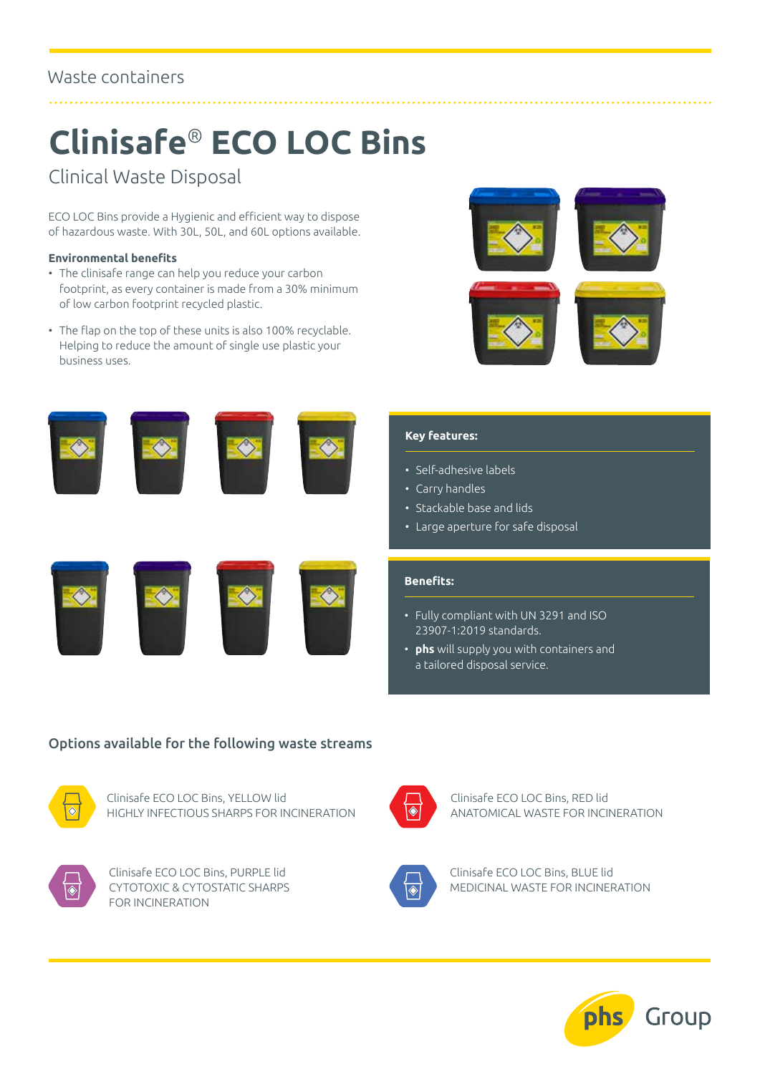### Waste containers

## **Clinisafe**® **ECO LOC Bins**

Clinical Waste Disposal

ECO LOC Bins provide a Hygienic and efficient way to dispose of hazardous waste. With 30L, 50L, and 60L options available.

#### **Environmental benefits**

- The clinisafe range can help you reduce your carbon footprint, as every container is made from a 30% minimum of low carbon footprint recycled plastic.
- The flap on the top of these units is also 100% recyclable. Helping to reduce the amount of single use plastic your business uses.













#### **Key features:**

- Self-adhesive labels
- Carry handles
- Stackable base and lids
- Large aperture for safe disposal

#### **Benefits:**

- Fully compliant with UN 3291 and ISO 23907-1:2019 standards.
- **phs** will supply you with containers and a tailored disposal service.

#### Options available for the following waste streams



Clinisafe ECO LOC Bins, YELLOW lid HIGHLY INFECTIOUS SHARPS FOR INCINERATION



Clinisafe ECO LOC Bins, PURPLE lid CYTOTOXIC & CYTOSTATIC SHARPS FOR INCINERATION



Clinisafe ECO LOC Bins, RED lid ANATOMICAL WASTE FOR INCINERATION



Clinisafe ECO LOC Bins, BLUE lid MEDICINAL WASTE FOR INCINERATION